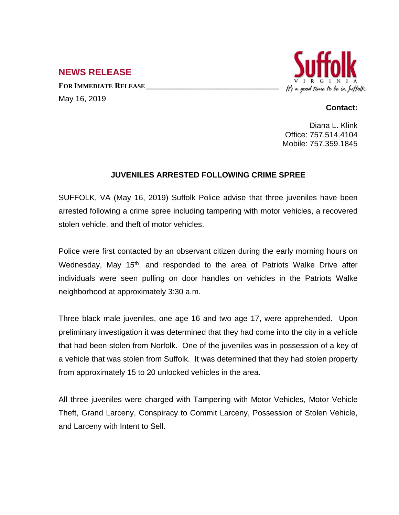## **NEWS RELEASE**

**FOR IMMEDIATE RELEASE \_\_\_\_\_\_\_\_\_\_\_\_\_\_\_\_\_\_\_\_\_\_\_\_\_\_\_\_\_\_\_\_\_\_** May 16, 2019



## **Contact:**

Diana L. Klink Office: 757.514.4104 Mobile: 757.359.1845

## **JUVENILES ARRESTED FOLLOWING CRIME SPREE**

SUFFOLK, VA (May 16, 2019) Suffolk Police advise that three juveniles have been arrested following a crime spree including tampering with motor vehicles, a recovered stolen vehicle, and theft of motor vehicles.

Police were first contacted by an observant citizen during the early morning hours on Wednesday, May 15<sup>th</sup>, and responded to the area of Patriots Walke Drive after individuals were seen pulling on door handles on vehicles in the Patriots Walke neighborhood at approximately 3:30 a.m.

Three black male juveniles, one age 16 and two age 17, were apprehended. Upon preliminary investigation it was determined that they had come into the city in a vehicle that had been stolen from Norfolk. One of the juveniles was in possession of a key of a vehicle that was stolen from Suffolk. It was determined that they had stolen property from approximately 15 to 20 unlocked vehicles in the area.

All three juveniles were charged with Tampering with Motor Vehicles, Motor Vehicle Theft, Grand Larceny, Conspiracy to Commit Larceny, Possession of Stolen Vehicle, and Larceny with Intent to Sell.